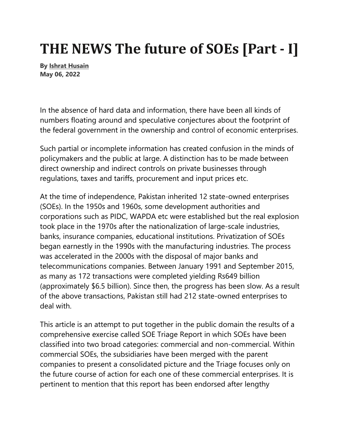## **THE NEWS The future of SOEs [Part ‐ I]**

**By Ishrat Husain May 06, 2022** 

In the absence of hard data and information, there have been all kinds of numbers floating around and speculative conjectures about the footprint of the federal government in the ownership and control of economic enterprises.

Such partial or incomplete information has created confusion in the minds of policymakers and the public at large. A distinction has to be made between direct ownership and indirect controls on private businesses through regulations, taxes and tariffs, procurement and input prices etc.

At the time of independence, Pakistan inherited 12 state-owned enterprises (SOEs). In the 1950s and 1960s, some development authorities and corporations such as PIDC, WAPDA etc were established but the real explosion took place in the 1970s after the nationalization of large-scale industries, banks, insurance companies, educational institutions. Privatization of SOEs began earnestly in the 1990s with the manufacturing industries. The process was accelerated in the 2000s with the disposal of major banks and telecommunications companies. Between January 1991 and September 2015, as many as 172 transactions were completed yielding Rs649 billion (approximately \$6.5 billion). Since then, the progress has been slow. As a result of the above transactions, Pakistan still had 212 state-owned enterprises to deal with.

This article is an attempt to put together in the public domain the results of a comprehensive exercise called SOE Triage Report in which SOEs have been classified into two broad categories: commercial and non-commercial. Within commercial SOEs, the subsidiaries have been merged with the parent companies to present a consolidated picture and the Triage focuses only on the future course of action for each one of these commercial enterprises. It is pertinent to mention that this report has been endorsed after lengthy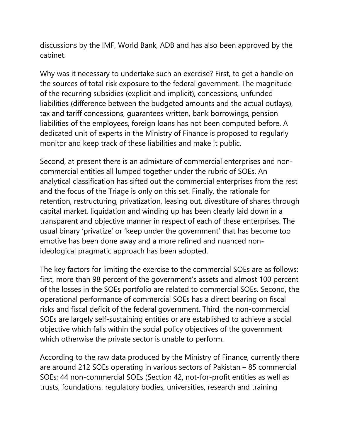discussions by the IMF, World Bank, ADB and has also been approved by the cabinet.

Why was it necessary to undertake such an exercise? First, to get a handle on the sources of total risk exposure to the federal government. The magnitude of the recurring subsidies (explicit and implicit), concessions, unfunded liabilities (difference between the budgeted amounts and the actual outlays), tax and tariff concessions, guarantees written, bank borrowings, pension liabilities of the employees, foreign loans has not been computed before. A dedicated unit of experts in the Ministry of Finance is proposed to regularly monitor and keep track of these liabilities and make it public.

Second, at present there is an admixture of commercial enterprises and noncommercial entities all lumped together under the rubric of SOEs. An analytical classification has sifted out the commercial enterprises from the rest and the focus of the Triage is only on this set. Finally, the rationale for retention, restructuring, privatization, leasing out, divestiture of shares through capital market, liquidation and winding up has been clearly laid down in a transparent and objective manner in respect of each of these enterprises. The usual binary 'privatize' or 'keep under the government' that has become too emotive has been done away and a more refined and nuanced nonideological pragmatic approach has been adopted.

The key factors for limiting the exercise to the commercial SOEs are as follows: first, more than 98 percent of the government's assets and almost 100 percent of the losses in the SOEs portfolio are related to commercial SOEs. Second, the operational performance of commercial SOEs has a direct bearing on fiscal risks and fiscal deficit of the federal government. Third, the non-commercial SOEs are largely self-sustaining entities or are established to achieve a social objective which falls within the social policy objectives of the government which otherwise the private sector is unable to perform.

According to the raw data produced by the Ministry of Finance, currently there are around 212 SOEs operating in various sectors of Pakistan – 85 commercial SOEs; 44 non-commercial SOEs (Section 42, not-for-profit entities as well as trusts, foundations, regulatory bodies, universities, research and training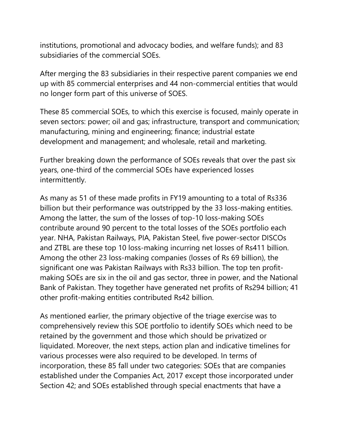institutions, promotional and advocacy bodies, and welfare funds); and 83 subsidiaries of the commercial SOEs.

After merging the 83 subsidiaries in their respective parent companies we end up with 85 commercial enterprises and 44 non-commercial entities that would no longer form part of this universe of SOES.

These 85 commercial SOEs, to which this exercise is focused, mainly operate in seven sectors: power; oil and gas; infrastructure, transport and communication; manufacturing, mining and engineering; finance; industrial estate development and management; and wholesale, retail and marketing.

Further breaking down the performance of SOEs reveals that over the past six years, one-third of the commercial SOEs have experienced losses intermittently.

As many as 51 of these made profits in FY19 amounting to a total of Rs336 billion but their performance was outstripped by the 33 loss-making entities. Among the latter, the sum of the losses of top-10 loss-making SOEs contribute around 90 percent to the total losses of the SOEs portfolio each year. NHA, Pakistan Railways, PIA, Pakistan Steel, five power-sector DISCOs and ZTBL are these top 10 loss-making incurring net losses of Rs411 billion. Among the other 23 loss-making companies (losses of Rs 69 billion), the significant one was Pakistan Railways with Rs33 billion. The top ten profitmaking SOEs are six in the oil and gas sector, three in power, and the National Bank of Pakistan. They together have generated net profits of Rs294 billion; 41 other profit-making entities contributed Rs42 billion.

As mentioned earlier, the primary objective of the triage exercise was to comprehensively review this SOE portfolio to identify SOEs which need to be retained by the government and those which should be privatized or liquidated. Moreover, the next steps, action plan and indicative timelines for various processes were also required to be developed. In terms of incorporation, these 85 fall under two categories: SOEs that are companies established under the Companies Act, 2017 except those incorporated under Section 42; and SOEs established through special enactments that have a